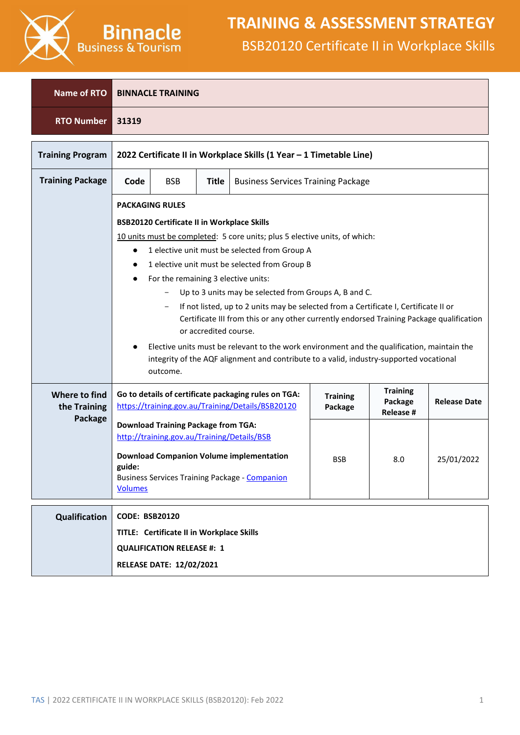

**Binnacle**<br>Business & Tourism

| <b>Name of RTO</b>            |                                                                                                                                                                                                                  | <b>BINNACLE TRAINING</b>                                                                                                        |                       |                                                                                                                                                                                                                                                                                                                                                                                                                                                                                                                                                                                                                     |            |     |            |
|-------------------------------|------------------------------------------------------------------------------------------------------------------------------------------------------------------------------------------------------------------|---------------------------------------------------------------------------------------------------------------------------------|-----------------------|---------------------------------------------------------------------------------------------------------------------------------------------------------------------------------------------------------------------------------------------------------------------------------------------------------------------------------------------------------------------------------------------------------------------------------------------------------------------------------------------------------------------------------------------------------------------------------------------------------------------|------------|-----|------------|
| <b>RTO Number</b>             | 31319                                                                                                                                                                                                            |                                                                                                                                 |                       |                                                                                                                                                                                                                                                                                                                                                                                                                                                                                                                                                                                                                     |            |     |            |
| <b>Training Program</b>       |                                                                                                                                                                                                                  |                                                                                                                                 |                       | 2022 Certificate II in Workplace Skills (1 Year - 1 Timetable Line)                                                                                                                                                                                                                                                                                                                                                                                                                                                                                                                                                 |            |     |            |
| <b>Training Package</b>       | Code                                                                                                                                                                                                             | <b>BSB</b>                                                                                                                      | <b>Title</b>          | <b>Business Services Training Package</b>                                                                                                                                                                                                                                                                                                                                                                                                                                                                                                                                                                           |            |     |            |
|                               | $\bullet$<br>$\bullet$                                                                                                                                                                                           | <b>PACKAGING RULES</b><br><b>BSB20120 Certificate II in Workplace Skills</b><br>For the remaining 3 elective units:<br>outcome. | or accredited course. | 10 units must be completed: 5 core units; plus 5 elective units, of which:<br>1 elective unit must be selected from Group A<br>1 elective unit must be selected from Group B<br>Up to 3 units may be selected from Groups A, B and C.<br>If not listed, up to 2 units may be selected from a Certificate I, Certificate II or<br>Certificate III from this or any other currently endorsed Training Package qualification<br>Elective units must be relevant to the work environment and the qualification, maintain the<br>integrity of the AQF alignment and contribute to a valid, industry-supported vocational |            |     |            |
| Where to find<br>the Training | <b>Training</b><br>Go to details of certificate packaging rules on TGA:<br><b>Training</b><br><b>Release Date</b><br>Package<br>https://training.gov.au/Training/Details/BSB20120<br>Package<br><b>Release #</b> |                                                                                                                                 |                       |                                                                                                                                                                                                                                                                                                                                                                                                                                                                                                                                                                                                                     |            |     |            |
| Package                       | guide:<br><b>Volumes</b>                                                                                                                                                                                         | <b>Download Training Package from TGA:</b><br>http://training.gov.au/Training/Details/BSB                                       |                       | <b>Download Companion Volume implementation</b><br><b>Business Services Training Package - Companion</b>                                                                                                                                                                                                                                                                                                                                                                                                                                                                                                            | <b>BSB</b> | 8.0 | 25/01/2022 |
| <b>Qualification</b>          | <b>CODE: BSB20120</b>                                                                                                                                                                                            | TITLE: Certificate II in Workplace Skills<br><b>QUALIFICATION RELEASE #: 1</b><br><b>RELEASE DATE: 12/02/2021</b>               |                       |                                                                                                                                                                                                                                                                                                                                                                                                                                                                                                                                                                                                                     |            |     |            |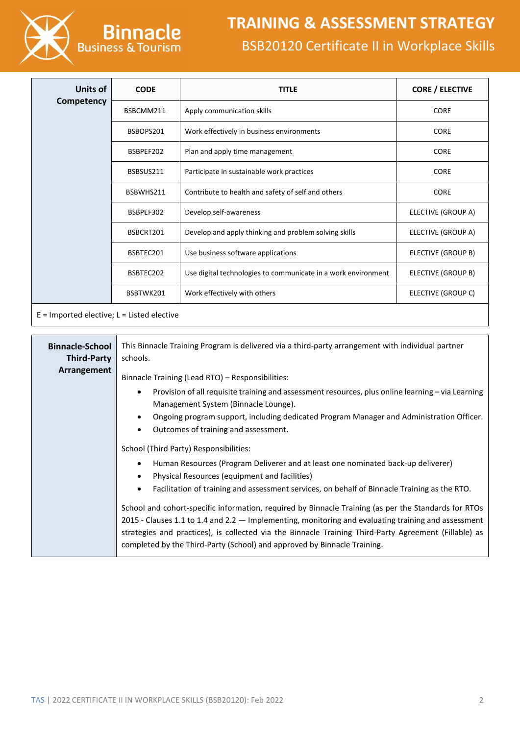

| Units of               | <b>CODE</b> | <b>TITLE</b>                                                  | <b>CORE / ELECTIVE</b> |  |
|------------------------|-------------|---------------------------------------------------------------|------------------------|--|
| Competency             | BSBCMM211   | Apply communication skills                                    | <b>CORE</b>            |  |
|                        | BSBOPS201   | Work effectively in business environments                     | <b>CORE</b>            |  |
|                        | BSBPEF202   | Plan and apply time management                                | <b>CORE</b>            |  |
|                        | BSBSUS211   | Participate in sustainable work practices                     | <b>CORE</b>            |  |
| BSBWHS211              |             | Contribute to health and safety of self and others            | <b>CORE</b>            |  |
|                        | BSBPEF302   | Develop self-awareness                                        | ELECTIVE (GROUP A)     |  |
| BSBCRT201<br>BSBTEC201 |             | Develop and apply thinking and problem solving skills         | ELECTIVE (GROUP A)     |  |
|                        |             | Use business software applications                            | ELECTIVE (GROUP B)     |  |
|                        | BSBTEC202   | Use digital technologies to communicate in a work environment | ELECTIVE (GROUP B)     |  |
|                        | BSBTWK201   | Work effectively with others                                  | ELECTIVE (GROUP C)     |  |

 $E =$  Imported elective;  $L =$  Listed elective

| <b>Binnacle-School</b> | This Binnacle Training Program is delivered via a third-party arrangement with individual partner                                                                                                                                                                                                                                                                                                                                                                                                                                                                                                                                                                                                                                                                                                                                                                                                                                                                                                                                                           |
|------------------------|-------------------------------------------------------------------------------------------------------------------------------------------------------------------------------------------------------------------------------------------------------------------------------------------------------------------------------------------------------------------------------------------------------------------------------------------------------------------------------------------------------------------------------------------------------------------------------------------------------------------------------------------------------------------------------------------------------------------------------------------------------------------------------------------------------------------------------------------------------------------------------------------------------------------------------------------------------------------------------------------------------------------------------------------------------------|
| <b>Third-Party</b>     | schools.                                                                                                                                                                                                                                                                                                                                                                                                                                                                                                                                                                                                                                                                                                                                                                                                                                                                                                                                                                                                                                                    |
| Arrangement            | Binnacle Training (Lead RTO) - Responsibilities:<br>Provision of all requisite training and assessment resources, plus online learning – via Learning<br>$\bullet$<br>Management System (Binnacle Lounge).<br>Ongoing program support, including dedicated Program Manager and Administration Officer.<br>$\bullet$<br>Outcomes of training and assessment.<br>School (Third Party) Responsibilities:<br>Human Resources (Program Deliverer and at least one nominated back-up deliverer)<br>Physical Resources (equipment and facilities)<br>Facilitation of training and assessment services, on behalf of Binnacle Training as the RTO.<br>$\bullet$<br>School and cohort-specific information, required by Binnacle Training (as per the Standards for RTOs<br>2015 - Clauses 1.1 to 1.4 and 2.2 — Implementing, monitoring and evaluating training and assessment<br>strategies and practices), is collected via the Binnacle Training Third-Party Agreement (Fillable) as<br>completed by the Third-Party (School) and approved by Binnacle Training. |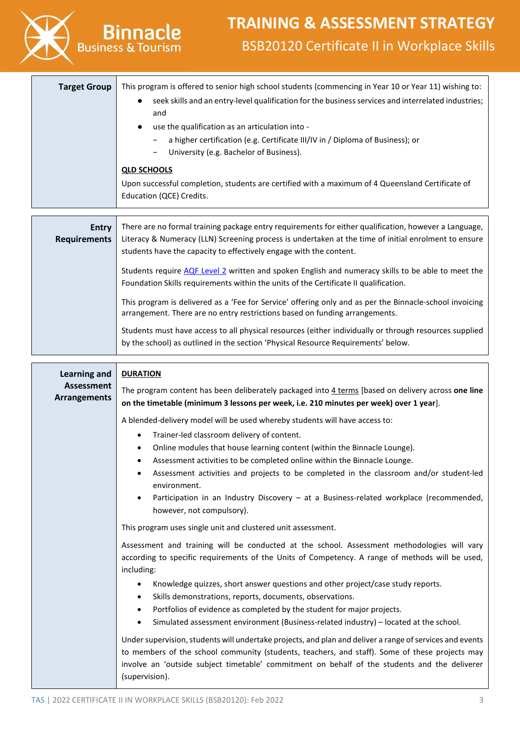

| <b>Target Group</b>                 | This program is offered to senior high school students (commencing in Year 10 or Year 11) wishing to:<br>seek skills and an entry-level qualification for the business services and interrelated industries;<br>$\bullet$<br>and<br>use the qualification as an articulation into -<br>a higher certification (e.g. Certificate III/IV in / Diploma of Business); or<br>University (e.g. Bachelor of Business).<br><b>QLD SCHOOLS</b><br>Upon successful completion, students are certified with a maximum of 4 Queensland Certificate of<br>Education (QCE) Credits. |  |  |  |
|-------------------------------------|-----------------------------------------------------------------------------------------------------------------------------------------------------------------------------------------------------------------------------------------------------------------------------------------------------------------------------------------------------------------------------------------------------------------------------------------------------------------------------------------------------------------------------------------------------------------------|--|--|--|
| <b>Entry</b><br><b>Requirements</b> | There are no formal training package entry requirements for either qualification, however a Language,<br>Literacy & Numeracy (LLN) Screening process is undertaken at the time of initial enrolment to ensure<br>students have the capacity to effectively engage with the content.<br>Students require AQF Level 2 written and spoken English and numeracy skills to be able to meet the<br>Foundation Skills requirements within the units of the Certificate II qualification.                                                                                     |  |  |  |
|                                     | This program is delivered as a 'Fee for Service' offering only and as per the Binnacle-school invoicing<br>arrangement. There are no entry restrictions based on funding arrangements.                                                                                                                                                                                                                                                                                                                                                                                |  |  |  |

Students must have access to all physical resources (either individually or through resources supplied by the school) as outlined in the section 'Physical Resource Requirements' below.

| Learning and                             | <b>DURATION</b>                                                                                                                                                                                                                                                                                                                                                                                                                                                                                                                                   |  |  |  |  |
|------------------------------------------|---------------------------------------------------------------------------------------------------------------------------------------------------------------------------------------------------------------------------------------------------------------------------------------------------------------------------------------------------------------------------------------------------------------------------------------------------------------------------------------------------------------------------------------------------|--|--|--|--|
| <b>Assessment</b><br><b>Arrangements</b> | The program content has been deliberately packaged into 4 terms [based on delivery across one line<br>on the timetable (minimum 3 lessons per week, i.e. 210 minutes per week) over 1 year].                                                                                                                                                                                                                                                                                                                                                      |  |  |  |  |
|                                          | A blended-delivery model will be used whereby students will have access to:<br>Trainer-led classroom delivery of content.<br>$\bullet$<br>Online modules that house learning content (within the Binnacle Lounge).<br>$\bullet$<br>Assessment activities to be completed online within the Binnacle Lounge.<br>٠<br>Assessment activities and projects to be completed in the classroom and/or student-led<br>environment.<br>Participation in an Industry Discovery - at a Business-related workplace (recommended,<br>however, not compulsory). |  |  |  |  |
|                                          | This program uses single unit and clustered unit assessment.                                                                                                                                                                                                                                                                                                                                                                                                                                                                                      |  |  |  |  |
|                                          | Assessment and training will be conducted at the school. Assessment methodologies will vary<br>according to specific requirements of the Units of Competency. A range of methods will be used,<br>including:                                                                                                                                                                                                                                                                                                                                      |  |  |  |  |
|                                          | Knowledge quizzes, short answer questions and other project/case study reports.<br>Skills demonstrations, reports, documents, observations.<br>$\bullet$<br>Portfolios of evidence as completed by the student for major projects.<br>$\bullet$<br>Simulated assessment environment (Business-related industry) - located at the school.<br>$\bullet$                                                                                                                                                                                             |  |  |  |  |
|                                          | Under supervision, students will undertake projects, and plan and deliver a range of services and events<br>to members of the school community (students, teachers, and staff). Some of these projects may<br>involve an 'outside subject timetable' commitment on behalf of the students and the deliverer<br>(supervision).                                                                                                                                                                                                                     |  |  |  |  |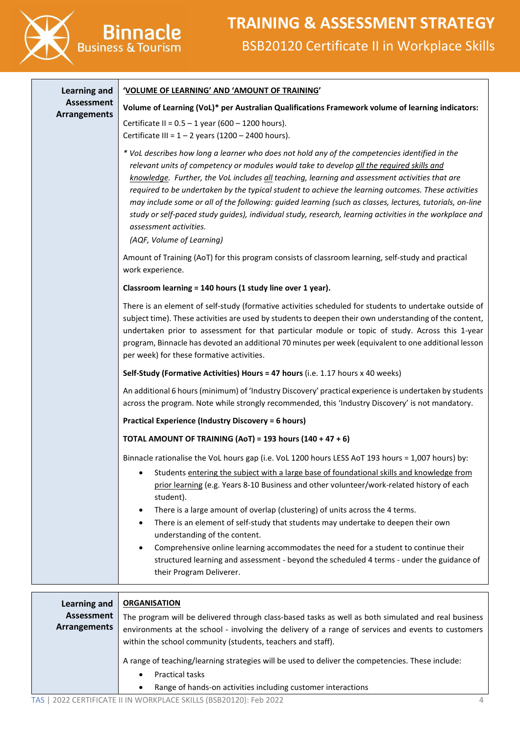

| <b>Learning and</b>                      | 'VOLUME OF LEARNING' AND 'AMOUNT OF TRAINING'                                                                                                                                                                                                                                                                                                                                                                                                                                                                                                                                                                                                                                      |
|------------------------------------------|------------------------------------------------------------------------------------------------------------------------------------------------------------------------------------------------------------------------------------------------------------------------------------------------------------------------------------------------------------------------------------------------------------------------------------------------------------------------------------------------------------------------------------------------------------------------------------------------------------------------------------------------------------------------------------|
| <b>Assessment</b><br><b>Arrangements</b> | Volume of Learning (VoL)* per Australian Qualifications Framework volume of learning indicators:                                                                                                                                                                                                                                                                                                                                                                                                                                                                                                                                                                                   |
|                                          | Certificate II = $0.5 - 1$ year (600 - 1200 hours).<br>Certificate III = $1 - 2$ years (1200 - 2400 hours).                                                                                                                                                                                                                                                                                                                                                                                                                                                                                                                                                                        |
|                                          | * VoL describes how long a learner who does not hold any of the competencies identified in the<br>relevant units of competency or modules would take to develop all the required skills and<br>knowledge. Further, the VoL includes all teaching, learning and assessment activities that are<br>required to be undertaken by the typical student to achieve the learning outcomes. These activities<br>may include some or all of the following: guided learning (such as classes, lectures, tutorials, on-line<br>study or self-paced study guides), individual study, research, learning activities in the workplace and<br>assessment activities.<br>(AQF, Volume of Learning) |
|                                          | Amount of Training (AoT) for this program consists of classroom learning, self-study and practical<br>work experience.                                                                                                                                                                                                                                                                                                                                                                                                                                                                                                                                                             |
|                                          | Classroom learning = 140 hours (1 study line over 1 year).                                                                                                                                                                                                                                                                                                                                                                                                                                                                                                                                                                                                                         |
|                                          | There is an element of self-study (formative activities scheduled for students to undertake outside of<br>subject time). These activities are used by students to deepen their own understanding of the content,<br>undertaken prior to assessment for that particular module or topic of study. Across this 1-year<br>program, Binnacle has devoted an additional 70 minutes per week (equivalent to one additional lesson<br>per week) for these formative activities.                                                                                                                                                                                                           |
|                                          | Self-Study (Formative Activities) Hours = 47 hours (i.e. 1.17 hours x 40 weeks)                                                                                                                                                                                                                                                                                                                                                                                                                                                                                                                                                                                                    |
|                                          | An additional 6 hours (minimum) of 'Industry Discovery' practical experience is undertaken by students<br>across the program. Note while strongly recommended, this 'Industry Discovery' is not mandatory.                                                                                                                                                                                                                                                                                                                                                                                                                                                                         |
|                                          | <b>Practical Experience (Industry Discovery = 6 hours)</b>                                                                                                                                                                                                                                                                                                                                                                                                                                                                                                                                                                                                                         |
|                                          | <b>TOTAL AMOUNT OF TRAINING (AoT) = 193 hours (140 + 47 + 6)</b>                                                                                                                                                                                                                                                                                                                                                                                                                                                                                                                                                                                                                   |
|                                          | Binnacle rationalise the VoL hours gap (i.e. VoL 1200 hours LESS AoT 193 hours = 1,007 hours) by:                                                                                                                                                                                                                                                                                                                                                                                                                                                                                                                                                                                  |
|                                          | Students entering the subject with a large base of foundational skills and knowledge from                                                                                                                                                                                                                                                                                                                                                                                                                                                                                                                                                                                          |
|                                          | prior learning (e.g. Years 8-10 Business and other volunteer/work-related history of each<br>student).                                                                                                                                                                                                                                                                                                                                                                                                                                                                                                                                                                             |
|                                          | There is a large amount of overlap (clustering) of units across the 4 terms.<br>٠<br>There is an element of self-study that students may undertake to deepen their own<br>$\bullet$<br>understanding of the content.<br>Comprehensive online learning accommodates the need for a student to continue their<br>$\bullet$                                                                                                                                                                                                                                                                                                                                                           |
|                                          | structured learning and assessment - beyond the scheduled 4 terms - under the guidance of<br>their Program Deliverer.                                                                                                                                                                                                                                                                                                                                                                                                                                                                                                                                                              |
| <b>Learning and</b>                      | <b>ORGANISATION</b>                                                                                                                                                                                                                                                                                                                                                                                                                                                                                                                                                                                                                                                                |
| <b>Assessment</b><br><b>Arrangements</b> | The program will be delivered through class-based tasks as well as both simulated and real business<br>environments at the school - involving the delivery of a range of services and events to customers<br>within the school community (students, teachers and staff).                                                                                                                                                                                                                                                                                                                                                                                                           |

A range of teaching/learning strategies will be used to deliver the competencies. These include:

- Practical tasks
- Range of hands-on activities including customer interactions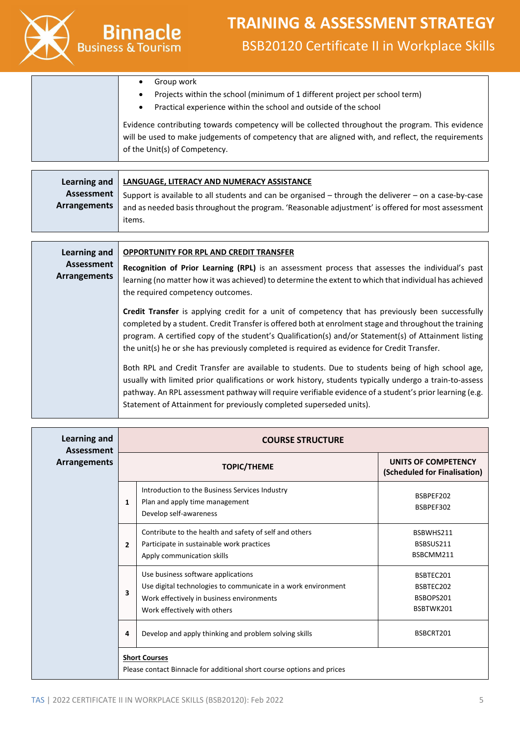

|                     | Group work<br>$\bullet$<br>Projects within the school (minimum of 1 different project per school term)<br>Practical experience within the school and outside of the school<br>Evidence contributing towards competency will be collected throughout the program. This evidence                                                                                                                                      |
|---------------------|---------------------------------------------------------------------------------------------------------------------------------------------------------------------------------------------------------------------------------------------------------------------------------------------------------------------------------------------------------------------------------------------------------------------|
|                     | will be used to make judgements of competency that are aligned with, and reflect, the requirements<br>of the Unit(s) of Competency.                                                                                                                                                                                                                                                                                 |
| Learning and        | LANGUAGE, LITERACY AND NUMERACY ASSISTANCE                                                                                                                                                                                                                                                                                                                                                                          |
| <b>Assessment</b>   | Support is available to all students and can be organised $-$ through the deliverer $-$ on a case-by-case                                                                                                                                                                                                                                                                                                           |
| <b>Arrangements</b> | and as needed basis throughout the program. 'Reasonable adjustment' is offered for most assessment                                                                                                                                                                                                                                                                                                                  |
|                     | items.                                                                                                                                                                                                                                                                                                                                                                                                              |
|                     |                                                                                                                                                                                                                                                                                                                                                                                                                     |
| <b>Learning and</b> | <b>OPPORTUNITY FOR RPL AND CREDIT TRANSFER</b>                                                                                                                                                                                                                                                                                                                                                                      |
| <b>Assessment</b>   | Recognition of Prior Learning (RPL) is an assessment process that assesses the individual's past                                                                                                                                                                                                                                                                                                                    |
| <b>Arrangements</b> | learning (no matter how it was achieved) to determine the extent to which that individual has achieved<br>the required competency outcomes.                                                                                                                                                                                                                                                                         |
|                     | Credit Transfer is applying credit for a unit of competency that has previously been successfully<br>completed by a student. Credit Transfer is offered both at enrolment stage and throughout the training<br>program. A certified copy of the student's Qualification(s) and/or Statement(s) of Attainment listing<br>the unit(s) he or she has previously completed is required as evidence for Credit Transfer. |
|                     | Both RPL and Credit Transfer are available to students. Due to students being of high school age,<br>usually with limited prior qualifications or work history, students typically undergo a train-to-assess<br>pathway. An RPL assessment pathway will require verifiable evidence of a student's prior learning (e.g.<br>Statement of Attainment for previously completed superseded units).                      |

| <b>Learning and</b><br><b>Assessment</b> | <b>COURSE STRUCTURE</b>                                                                                                                                                               |                                                     |  |  |  |
|------------------------------------------|---------------------------------------------------------------------------------------------------------------------------------------------------------------------------------------|-----------------------------------------------------|--|--|--|
| <b>Arrangements</b>                      | <b>TOPIC/THEME</b>                                                                                                                                                                    | UNITS OF COMPETENCY<br>(Scheduled for Finalisation) |  |  |  |
|                                          | Introduction to the Business Services Industry<br>Plan and apply time management<br>1<br>Develop self-awareness                                                                       | BSBPEF202<br>BSBPEF302                              |  |  |  |
|                                          | Contribute to the health and safety of self and others<br>Participate in sustainable work practices<br>$\overline{2}$<br>Apply communication skills                                   | BSBWHS211<br>BSBSUS211<br>BSBCMM211                 |  |  |  |
|                                          | Use business software applications<br>Use digital technologies to communicate in a work environment<br>3<br>Work effectively in business environments<br>Work effectively with others | BSBTEC201<br>BSBTEC202<br>BSBOPS201<br>BSBTWK201    |  |  |  |
|                                          | Develop and apply thinking and problem solving skills<br>4                                                                                                                            | BSBCRT201                                           |  |  |  |
|                                          | <b>Short Courses</b><br>Please contact Binnacle for additional short course options and prices                                                                                        |                                                     |  |  |  |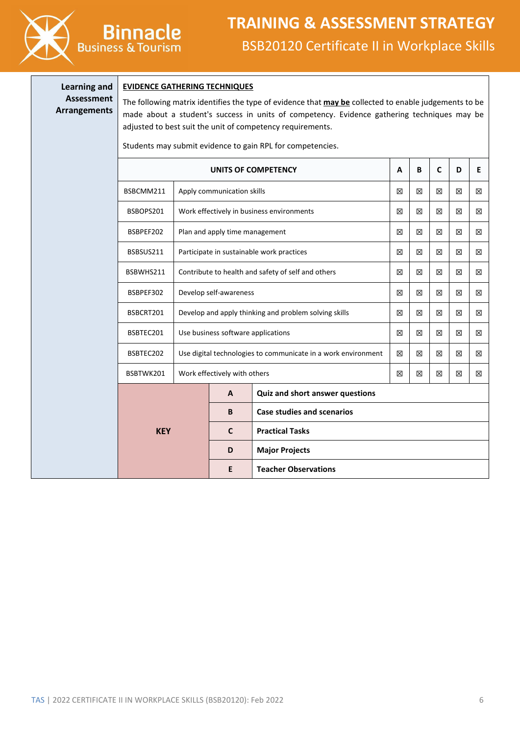

### **Learning and Assessment Arrangements**

#### **EVIDENCE GATHERING TECHNIQUES**

**Binnacle** 

The following matrix identifies the type of evidence that **may be** collected to enable judgements to be made about a student's success in units of competency. Evidence gathering techniques may be adjusted to best suit the unit of competency requirements.

Students may submit evidence to gain RPL for competencies.

|  | UNITS OF COMPETENCY |                                                               |                                           |                                                    | A | B | C | D | E |
|--|---------------------|---------------------------------------------------------------|-------------------------------------------|----------------------------------------------------|---|---|---|---|---|
|  | BSBCMM211           | Apply communication skills                                    |                                           |                                                    | ⊠ | ⊠ | ⊠ | ⊠ | × |
|  | BSBOPS201           |                                                               | Work effectively in business environments |                                                    |   | ⊠ | ⊠ | ⊠ | ⊠ |
|  | BSBPEF202           |                                                               | Plan and apply time management            |                                                    | 区 | 図 | X | ⊠ | X |
|  | BSBSUS211           |                                                               |                                           | Participate in sustainable work practices          | X | ⊠ | ⊠ | ⊠ | ⊠ |
|  | BSBWHS211           |                                                               |                                           | Contribute to health and safety of self and others | X | × | ⊠ | ⊠ | X |
|  | BSBPEF302           |                                                               | Develop self-awareness                    |                                                    |   | ⊠ | ⊠ | ⊠ | ⊠ |
|  | BSBCRT201           | Develop and apply thinking and problem solving skills         |                                           |                                                    | 区 | 冈 | 冈 | ⊠ | 冈 |
|  | BSBTEC201           | Use business software applications                            |                                           |                                                    | 冈 | 冈 | ⊠ | ⊠ | ⊠ |
|  | BSBTEC202           | Use digital technologies to communicate in a work environment |                                           |                                                    | X | ⊠ | ⊠ | ⊠ | X |
|  | BSBTWK201           |                                                               | Work effectively with others              |                                                    |   | ⊠ | ⊠ | ⊠ | ⊠ |
|  |                     |                                                               | A                                         | Quiz and short answer questions                    |   |   |   |   |   |
|  | <b>KEY</b>          |                                                               | B                                         | <b>Case studies and scenarios</b>                  |   |   |   |   |   |
|  |                     |                                                               | C                                         | <b>Practical Tasks</b>                             |   |   |   |   |   |
|  |                     |                                                               | D                                         | <b>Major Projects</b>                              |   |   |   |   |   |
|  |                     |                                                               | E                                         | <b>Teacher Observations</b>                        |   |   |   |   |   |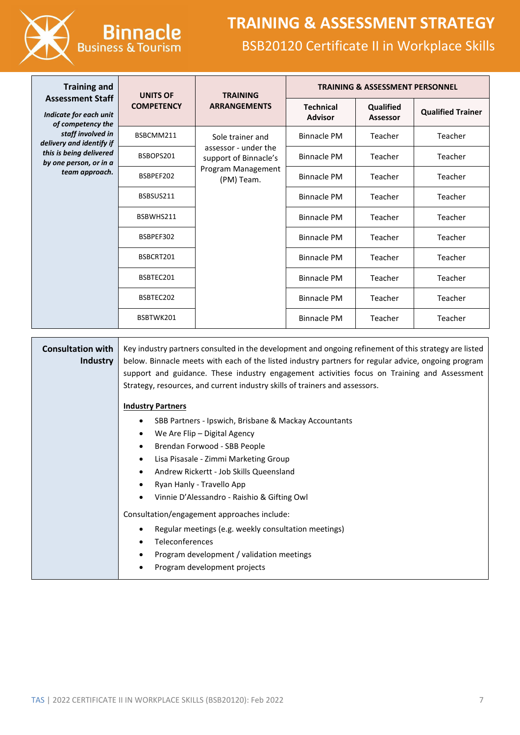

| <b>Training and</b>                                                    | <b>UNITS OF</b>                                                                                       | <b>TRAINING</b>                                                   | <b>TRAINING &amp; ASSESSMENT PERSONNEL</b> |                                     |                          |  |
|------------------------------------------------------------------------|-------------------------------------------------------------------------------------------------------|-------------------------------------------------------------------|--------------------------------------------|-------------------------------------|--------------------------|--|
| <b>Assessment Staff</b><br>Indicate for each unit<br>of competency the | <b>COMPETENCY</b>                                                                                     | <b>ARRANGEMENTS</b>                                               | <b>Technical</b><br><b>Advisor</b>         | <b>Qualified</b><br><b>Assessor</b> | <b>Qualified Trainer</b> |  |
| staff involved in<br>delivery and identify if                          | BSBCMM211                                                                                             | Sole trainer and<br>assessor - under the<br>support of Binnacle's | <b>Binnacle PM</b>                         | Teacher                             | Teacher                  |  |
| this is being delivered<br>by one person, or in a                      | BSBOPS201                                                                                             |                                                                   | <b>Binnacle PM</b>                         | Teacher                             | Teacher                  |  |
| team approach.                                                         | BSBPEF202                                                                                             | Program Management<br>(PM) Team.                                  | <b>Binnacle PM</b>                         | Teacher                             | Teacher                  |  |
|                                                                        | BSBSUS211                                                                                             |                                                                   | <b>Binnacle PM</b>                         | Teacher                             | Teacher                  |  |
|                                                                        | BSBWHS211                                                                                             |                                                                   | <b>Binnacle PM</b>                         | Teacher                             | Teacher                  |  |
|                                                                        | BSBPEF302                                                                                             |                                                                   | <b>Binnacle PM</b>                         | Teacher                             | Teacher                  |  |
|                                                                        | BSBCRT201                                                                                             |                                                                   | <b>Binnacle PM</b>                         | Teacher                             | Teacher                  |  |
|                                                                        | BSBTEC201                                                                                             |                                                                   | <b>Binnacle PM</b>                         | Teacher                             | Teacher                  |  |
|                                                                        | BSBTEC202                                                                                             |                                                                   | <b>Binnacle PM</b>                         | Teacher                             | Teacher                  |  |
|                                                                        | BSBTWK201                                                                                             |                                                                   | <b>Binnacle PM</b>                         | Teacher                             | Teacher                  |  |
|                                                                        |                                                                                                       |                                                                   |                                            |                                     |                          |  |
| <b>Consultation with</b>                                               | Key industry partners consulted in the development and ongoing refinement of this strategy are listed |                                                                   |                                            |                                     |                          |  |

| <b>Consultation with</b> | Key industry partners consulted in the development and ongoing refinement of this strategy are listed |  |  |  |
|--------------------------|-------------------------------------------------------------------------------------------------------|--|--|--|
| Industry                 | below. Binnacle meets with each of the listed industry partners for regular advice, ongoing program   |  |  |  |
|                          | support and guidance. These industry engagement activities focus on Training and Assessment           |  |  |  |
|                          | Strategy, resources, and current industry skills of trainers and assessors.                           |  |  |  |
|                          |                                                                                                       |  |  |  |
|                          | <b>Industry Partners</b>                                                                              |  |  |  |
|                          | SBB Partners - Ipswich, Brisbane & Mackay Accountants<br>٠                                            |  |  |  |
|                          | We Are Flip - Digital Agency<br>٠                                                                     |  |  |  |
|                          | Brendan Forwood - SBB People<br>$\bullet$                                                             |  |  |  |
|                          | Lisa Pisasale - Zimmi Marketing Group<br>$\bullet$                                                    |  |  |  |
|                          | Andrew Rickertt - Job Skills Queensland<br>$\bullet$                                                  |  |  |  |
|                          | Ryan Hanly - Travello App<br>٠                                                                        |  |  |  |
|                          | Vinnie D'Alessandro - Raishio & Gifting Owl<br>٠                                                      |  |  |  |
|                          | Consultation/engagement approaches include:                                                           |  |  |  |
|                          | Regular meetings (e.g. weekly consultation meetings)<br>$\bullet$                                     |  |  |  |
|                          | Teleconferences<br>$\bullet$                                                                          |  |  |  |
|                          | Program development / validation meetings<br>$\bullet$                                                |  |  |  |
|                          | Program development projects                                                                          |  |  |  |
|                          |                                                                                                       |  |  |  |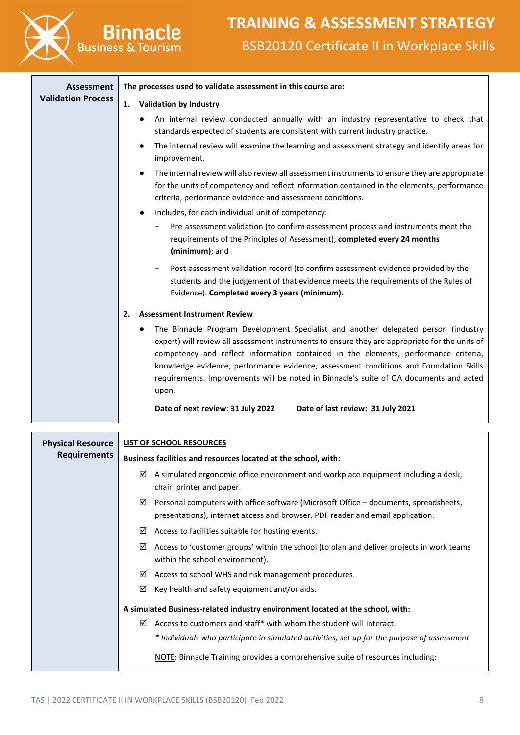

| <b>Assessment</b>         | The processes used to validate assessment in this course are:                                                                                                                                                                                                                                                                                                                                                                                                           |
|---------------------------|-------------------------------------------------------------------------------------------------------------------------------------------------------------------------------------------------------------------------------------------------------------------------------------------------------------------------------------------------------------------------------------------------------------------------------------------------------------------------|
| <b>Validation Process</b> | <b>Validation by Industry</b><br>1.                                                                                                                                                                                                                                                                                                                                                                                                                                     |
|                           | An internal review conducted annually with an industry representative to check that<br>standards expected of students are consistent with current industry practice.                                                                                                                                                                                                                                                                                                    |
|                           | The internal review will examine the learning and assessment strategy and identify areas for<br>$\bullet$<br>improvement.                                                                                                                                                                                                                                                                                                                                               |
|                           | The internal review will also review all assessment instruments to ensure they are appropriate<br>$\bullet$<br>for the units of competency and reflect information contained in the elements, performance<br>criteria, performance evidence and assessment conditions.                                                                                                                                                                                                  |
|                           | Includes, for each individual unit of competency:<br>$\bullet$                                                                                                                                                                                                                                                                                                                                                                                                          |
|                           | Pre-assessment validation (to confirm assessment process and instruments meet the<br>requirements of the Principles of Assessment); completed every 24 months<br>(minimum); and                                                                                                                                                                                                                                                                                         |
|                           | Post-assessment validation record (to confirm assessment evidence provided by the<br>students and the judgement of that evidence meets the requirements of the Rules of<br>Evidence). Completed every 3 years (minimum).                                                                                                                                                                                                                                                |
|                           | <b>Assessment Instrument Review</b><br>2.                                                                                                                                                                                                                                                                                                                                                                                                                               |
|                           | The Binnacle Program Development Specialist and another delegated person (industry<br>expert) will review all assessment instruments to ensure they are appropriate for the units of<br>competency and reflect information contained in the elements, performance criteria,<br>knowledge evidence, performance evidence, assessment conditions and Foundation Skills<br>requirements. Improvements will be noted in Binnacle's suite of QA documents and acted<br>upon. |
|                           | Date of next review: 31 July 2022<br>Date of last review: 31 July 2021                                                                                                                                                                                                                                                                                                                                                                                                  |

| <b>Physical Resource</b> | <b>LIST OF SCHOOL RESOURCES</b>                                                |                                                                                                                                                                        |  |
|--------------------------|--------------------------------------------------------------------------------|------------------------------------------------------------------------------------------------------------------------------------------------------------------------|--|
| <b>Requirements</b>      | Business facilities and resources located at the school, with:                 |                                                                                                                                                                        |  |
|                          | ⊠                                                                              | A simulated ergonomic office environment and workplace equipment including a desk,<br>chair, printer and paper.                                                        |  |
|                          | ☑                                                                              | Personal computers with office software (Microsoft Office – documents, spreadsheets,<br>presentations), internet access and browser, PDF reader and email application. |  |
|                          | ☑                                                                              | Access to facilities suitable for hosting events.                                                                                                                      |  |
|                          | ☑                                                                              | Access to 'customer groups' within the school (to plan and deliver projects in work teams<br>within the school environment).                                           |  |
|                          | ☑                                                                              | Access to school WHS and risk management procedures.                                                                                                                   |  |
|                          | ☑                                                                              | Key health and safety equipment and/or aids.                                                                                                                           |  |
|                          | A simulated Business-related industry environment located at the school, with: |                                                                                                                                                                        |  |
|                          | ☑                                                                              | Access to customers and staff* with whom the student will interact.                                                                                                    |  |
|                          |                                                                                | * Individuals who participate in simulated activities, set up for the purpose of assessment.                                                                           |  |
|                          |                                                                                | NOTE: Binnacle Training provides a comprehensive suite of resources including:                                                                                         |  |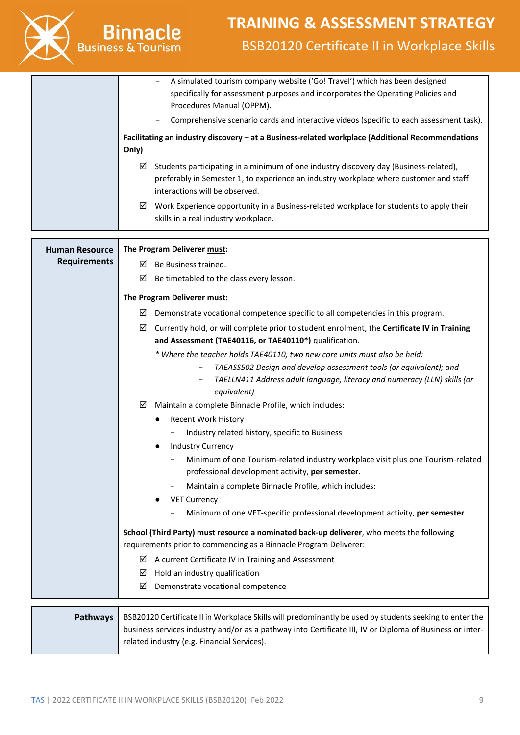

|                       | A simulated tourism company website ('Go! Travel') which has been designed<br>specifically for assessment purposes and incorporates the Operating Policies and                       |
|-----------------------|--------------------------------------------------------------------------------------------------------------------------------------------------------------------------------------|
|                       | Procedures Manual (OPPM).                                                                                                                                                            |
|                       | Comprehensive scenario cards and interactive videos (specific to each assessment task).                                                                                              |
|                       | Facilitating an industry discovery - at a Business-related workplace (Additional Recommendations                                                                                     |
|                       | Only)                                                                                                                                                                                |
|                       | Students participating in a minimum of one industry discovery day (Business-related),<br>⊻<br>preferably in Semester 1, to experience an industry workplace where customer and staff |
|                       | interactions will be observed.                                                                                                                                                       |
|                       | Work Experience opportunity in a Business-related workplace for students to apply their<br>⊻<br>skills in a real industry workplace.                                                 |
| <b>Human Resource</b> | The Program Deliverer must:                                                                                                                                                          |
| <b>Requirements</b>   | Be Business trained.<br>☑                                                                                                                                                            |
|                       | Be timetabled to the class every lesson.<br>☑                                                                                                                                        |
|                       | The Program Deliverer must:                                                                                                                                                          |
|                       | Demonstrate vocational competence specific to all competencies in this program.<br>⊻                                                                                                 |
|                       | Currently hold, or will complete prior to student enrolment, the Certificate IV in Training<br>☑                                                                                     |
|                       | and Assessment (TAE40116, or TAE40110*) qualification.                                                                                                                               |
|                       | * Where the teacher holds TAE40110, two new core units must also be held:                                                                                                            |
|                       | TAEASS502 Design and develop assessment tools (or equivalent); and<br>TAELLN411 Address adult language, literacy and numeracy (LLN) skills (or<br>equivalent)                        |
|                       | Maintain a complete Binnacle Profile, which includes:<br>☑                                                                                                                           |
|                       | Recent Work History                                                                                                                                                                  |
|                       | Industry related history, specific to Business                                                                                                                                       |
|                       | <b>Industry Currency</b>                                                                                                                                                             |
|                       | Minimum of one Tourism-related industry workplace visit plus one Tourism-related<br>professional development activity, per semester.                                                 |
|                       | Maintain a complete Binnacle Profile, which includes:<br>$\overline{\phantom{a}}$                                                                                                    |
|                       | <b>VET Currency</b><br>Minimum of one VET-specific professional development activity, per semester.                                                                                  |
|                       |                                                                                                                                                                                      |
|                       | School (Third Party) must resource a nominated back-up deliverer, who meets the following<br>requirements prior to commencing as a Binnacle Program Deliverer:                       |
|                       | A current Certificate IV in Training and Assessment<br>⊻                                                                                                                             |
|                       | Hold an industry qualification<br>☑                                                                                                                                                  |
|                       | ☑<br>Demonstrate vocational competence                                                                                                                                               |
| <b>Pathways</b>       | BSB20120 Certificate II in Workplace Skills will predominantly be used by students seeking to enter the                                                                              |
|                       | business services industry and/or as a pathway into Certificate III, IV or Diploma of Business or inter-<br>related industry (e.g. Financial Services).                              |
|                       |                                                                                                                                                                                      |